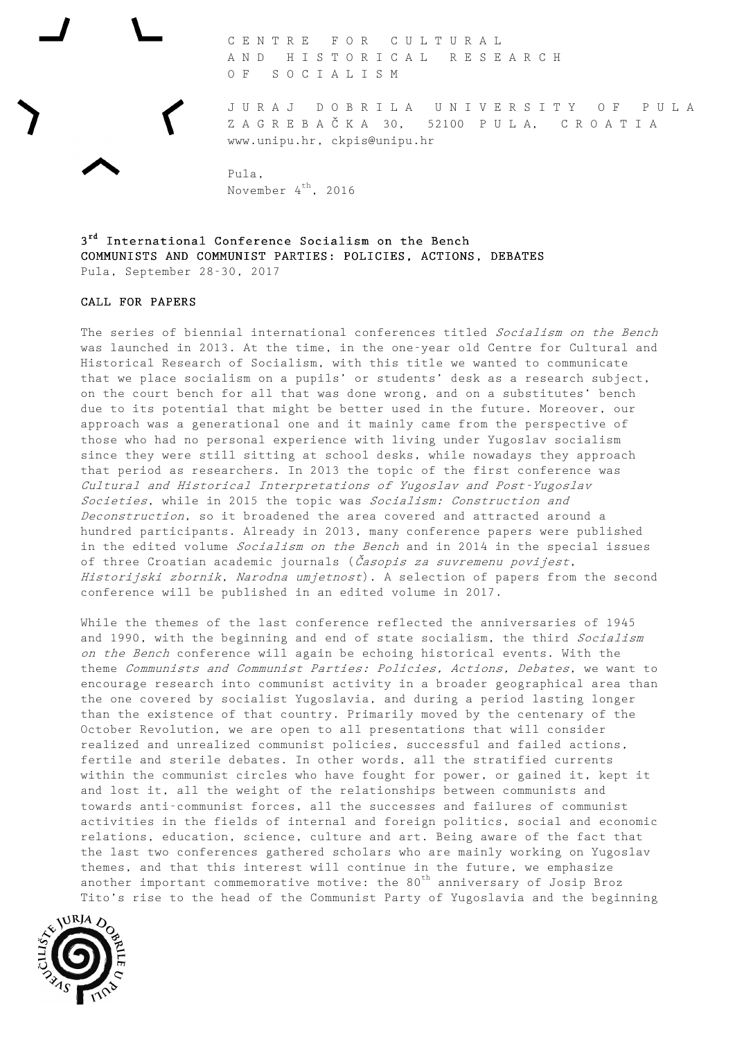C E N T R E F O R C U L T U R A L A N D H I S T O R I C A L R E S E A R C H O F S O C I A L I S M

J U R A J D O B R I L A U N I V E R S I T Y O F P U L A Z A G R E B A Č K A 30, 52100 P U L A, C R O A T I A www.unipu.hr, ckpis@unipu.hr

Pula, November 4<sup>th</sup>, 2016

3<sup>rd</sup> International Conference Socialism on the Bench COMMUNISTS AND COMMUNIST PARTIES: POLICIES, ACTIONS, DEBATES Pula, September 28-30, 2017

## CALL FOR PAPERS

The series of biennial international conferences titled Socialism on the Bench was launched in 2013. At the time, in the one-year old Centre for Cultural and Historical Research of Socialism, with this title we wanted to communicate that we place socialism on a pupils' or students' desk as a research subject, on the court bench for all that was done wrong, and on a substitutes' bench due to its potential that might be better used in the future. Moreover, our approach was a generational one and it mainly came from the perspective of those who had no personal experience with living under Yugoslav socialism since they were still sitting at school desks, while nowadays they approach that period as researchers. In 2013 the topic of the first conference was Cultural and Historical Interpretations of Yugoslav and Post-Yugoslav Societies, while in 2015 the topic was Socialism: Construction and Deconstruction, so it broadened the area covered and attracted around a hundred participants. Already in 2013, many conference papers were published in the edited volume Socialism on the Bench and in 2014 in the special issues of three Croatian academic journals (*Časopis za suvremenu povijest*, Historijski zbornik, Narodna umjetnost). A selection of papers from the second conference will be published in an edited volume in 2017.

While the themes of the last conference reflected the anniversaries of 1945 and 1990, with the beginning and end of state socialism, the third Socialism on the Bench conference will again be echoing historical events. With the theme Communists and Communist Parties: Policies, Actions, Debates, we want to encourage research into communist activity in a broader geographical area than the one covered by socialist Yugoslavia, and during a period lasting longer than the existence of that country. Primarily moved by the centenary of the October Revolution, we are open to all presentations that will consider realized and unrealized communist policies, successful and failed actions, fertile and sterile debates. In other words, all the stratified currents within the communist circles who have fought for power, or gained it, kept it and lost it, all the weight of the relationships between communists and towards anti-communist forces, all the successes and failures of communist activities in the fields of internal and foreign politics, social and economic relations, education, science, culture and art. Being aware of the fact that the last two conferences gathered scholars who are mainly working on Yugoslav themes, and that this interest will continue in the future, we emphasize another important commemorative motive: the  $80<sup>th</sup>$  anniversary of Josip Broz Tito's rise to the head of the Communist Party of Yugoslavia and the beginning